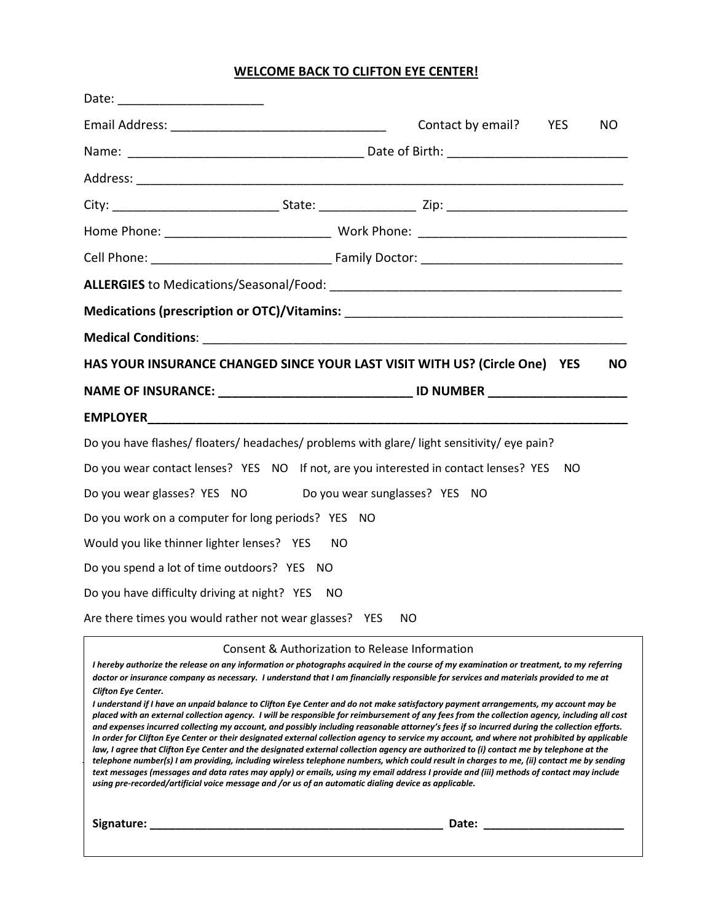## **WELCOME BACK TO CLIFTON EYE CENTER!**

| Date: ____________________________                         |                                                                                              |  |
|------------------------------------------------------------|----------------------------------------------------------------------------------------------|--|
|                                                            | Contact by email?<br><b>YES</b><br>NO                                                        |  |
|                                                            |                                                                                              |  |
|                                                            |                                                                                              |  |
|                                                            |                                                                                              |  |
|                                                            |                                                                                              |  |
|                                                            |                                                                                              |  |
|                                                            |                                                                                              |  |
|                                                            |                                                                                              |  |
|                                                            |                                                                                              |  |
|                                                            | HAS YOUR INSURANCE CHANGED SINCE YOUR LAST VISIT WITH US? (Circle One) YES<br><b>NO</b>      |  |
|                                                            | NAME OF INSURANCE: __________________________________ ID NUMBER ________________             |  |
|                                                            |                                                                                              |  |
|                                                            | Do you have flashes/floaters/headaches/problems with glare/light sensitivity/eye pain?       |  |
|                                                            | Do you wear contact lenses? YES NO If not, are you interested in contact lenses? YES<br>- NO |  |
| Do you wear glasses? YES NO Do you wear sunglasses? YES NO |                                                                                              |  |
| Do you work on a computer for long periods? YES NO         |                                                                                              |  |
| Would you like thinner lighter lenses? YES                 | NO.                                                                                          |  |
| Do you spend a lot of time outdoors? YES NO                |                                                                                              |  |
| Do you have difficulty driving at night? YES NO            |                                                                                              |  |
| Are there times you would rather not wear glasses? YES     | NO.                                                                                          |  |

Consent & Authorization to Release Information

*I hereby authorize the release on any information or photographs acquired in the course of my examination or treatment, to my referring doctor or insurance company as necessary. I understand that I am financially responsible for services and materials provided to me at Clifton Eye Center. I understand if I have an unpaid balance to Clifton Eye Center and do not make satisfactory payment arrangements, my account may be placed with an external collection agency. I will be responsible for reimbursement of any fees from the collection agency, including all cost and expenses incurred collecting my account, and possibly including reasonable attorney's fees if so incurred during the collection efforts. In order for Clifton Eye Center or their designated external collection agency to service my account, and where not prohibited by applicable*  law, I agree that Clifton Eye Center and the designated external collection agency are authorized to (i) contact me by telephone at the *telephone number(s) I am providing, including wireless telephone numbers, which could result in charges to me, (ii) contact me by sending text messages (messages and data rates may apply) or emails, using my email address I provide and (iii) methods of contact may include* 

*using pre-recorded/artificial voice message and /or us of an automatic dialing device as applicable.* 

**Signature: \_\_\_\_\_\_\_\_\_\_\_\_\_\_\_\_\_\_\_\_\_\_\_\_\_\_\_\_\_\_\_\_\_\_\_\_\_\_\_\_\_\_\_\_\_\_ Date: \_\_\_\_\_\_\_\_\_\_\_\_\_\_\_\_\_\_\_\_\_\_**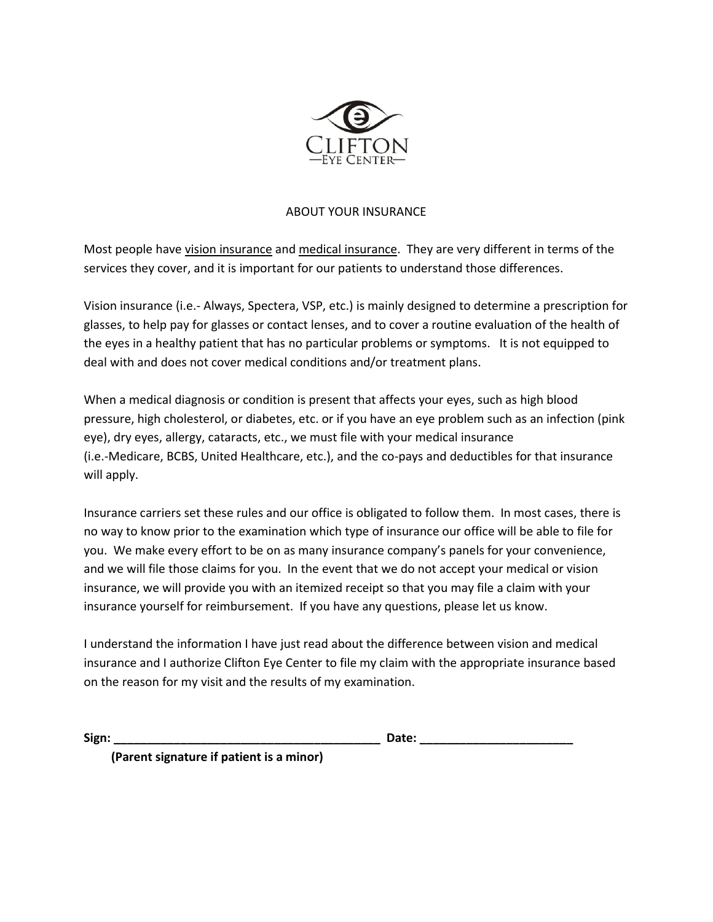

## ABOUT YOUR INSURANCE

Most people have vision insurance and medical insurance. They are very different in terms of the services they cover, and it is important for our patients to understand those differences.

Vision insurance (i.e.- Always, Spectera, VSP, etc.) is mainly designed to determine a prescription for glasses, to help pay for glasses or contact lenses, and to cover a routine evaluation of the health of the eyes in a healthy patient that has no particular problems or symptoms. It is not equipped to deal with and does not cover medical conditions and/or treatment plans.

When a medical diagnosis or condition is present that affects your eyes, such as high blood pressure, high cholesterol, or diabetes, etc. or if you have an eye problem such as an infection (pink eye), dry eyes, allergy, cataracts, etc., we must file with your medical insurance (i.e.-Medicare, BCBS, United Healthcare, etc.), and the co-pays and deductibles for that insurance will apply.

Insurance carriers set these rules and our office is obligated to follow them. In most cases, there is no way to know prior to the examination which type of insurance our office will be able to file for you. We make every effort to be on as many insurance company's panels for your convenience, and we will file those claims for you. In the event that we do not accept your medical or vision insurance, we will provide you with an itemized receipt so that you may file a claim with your insurance yourself for reimbursement. If you have any questions, please let us know.

I understand the information I have just read about the difference between vision and medical insurance and I authorize Clifton Eye Center to file my claim with the appropriate insurance based on the reason for my visit and the results of my examination.

**Sign: \_\_\_\_\_\_\_\_\_\_\_\_\_\_\_\_\_\_\_\_\_\_\_\_\_\_\_\_\_\_\_\_\_\_\_\_\_\_\_\_ Date: \_\_\_\_\_\_\_\_\_\_\_\_\_\_\_\_\_\_\_\_\_\_\_**

 **(Parent signature if patient is a minor)**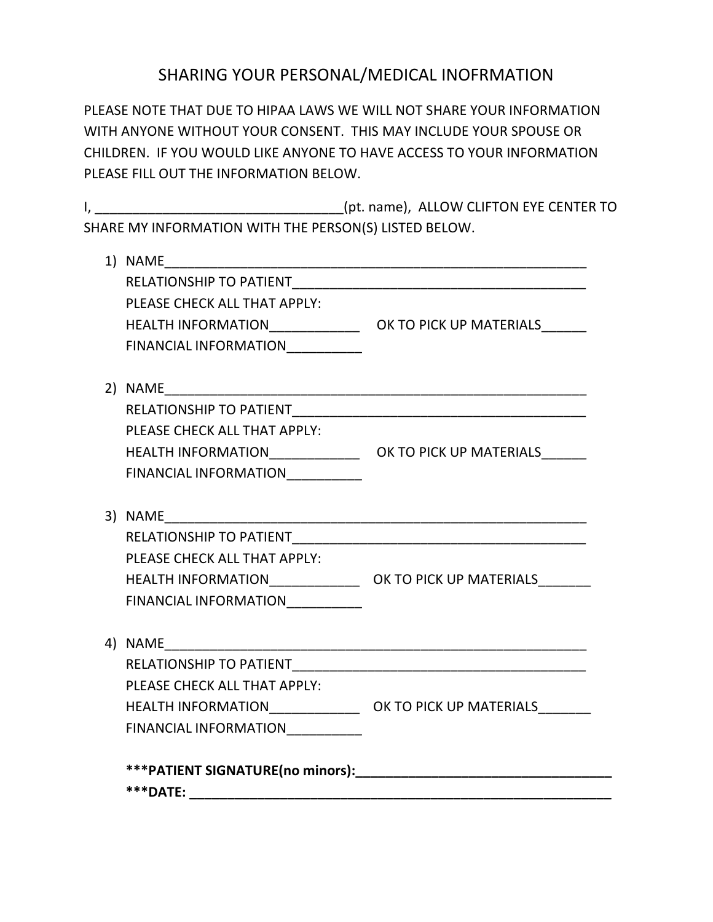## SHARING YOUR PERSONAL/MEDICAL INOFRMATION

PLEASE NOTE THAT DUE TO HIPAA LAWS WE WILL NOT SHARE YOUR INFORMATION WITH ANYONE WITHOUT YOUR CONSENT. THIS MAY INCLUDE YOUR SPOUSE OR CHILDREN. IF YOU WOULD LIKE ANYONE TO HAVE ACCESS TO YOUR INFORMATION PLEASE FILL OUT THE INFORMATION BELOW.

I, The same of the state of the state of the state of the state of the state of the state of the state of the state of the state of the state of the state of the state of the state of the state of the state of the state of SHARE MY INFORMATION WITH THE PERSON(S) LISTED BELOW.

| PLEASE CHECK ALL THAT APPLY:     |  |
|----------------------------------|--|
|                                  |  |
| FINANCIAL INFORMATION___________ |  |
|                                  |  |
|                                  |  |
| PLEASE CHECK ALL THAT APPLY:     |  |
|                                  |  |
| FINANCIAL INFORMATION___________ |  |
|                                  |  |
|                                  |  |
|                                  |  |
| PLEASE CHECK ALL THAT APPLY:     |  |
|                                  |  |
| FINANCIAL INFORMATION__________  |  |
|                                  |  |
|                                  |  |
|                                  |  |
| PLEASE CHECK ALL THAT APPLY:     |  |
|                                  |  |
| FINANCIAL INFORMATION            |  |
|                                  |  |
|                                  |  |